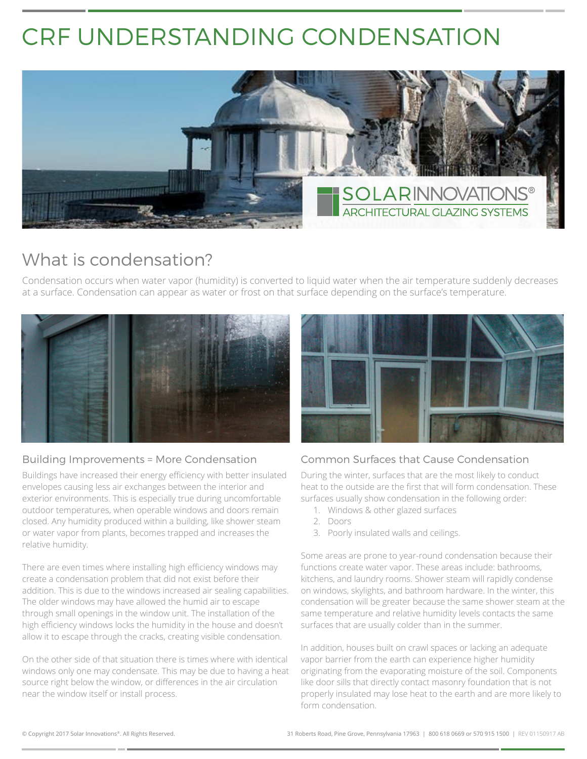# CRF UNDERSTANDING CONDENSATION



## What is condensation?

Condensation occurs when water vapor (humidity) is converted to liquid water when the air temperature suddenly decreases at a surface. Condensation can appear as water or frost on that surface depending on the surface's temperature.



#### Building Improvements = More Condensation

Buildings have increased their energy efficiency with better insulated envelopes causing less air exchanges between the interior and exterior environments. This is especially true during uncomfortable outdoor temperatures, when operable windows and doors remain closed. Any humidity produced within a building, like shower steam or water vapor from plants, becomes trapped and increases the relative humidity.

There are even times where installing high efficiency windows may create a condensation problem that did not exist before their addition. This is due to the windows increased air sealing capabilities. The older windows may have allowed the humid air to escape through small openings in the window unit. The installation of the high efficiency windows locks the humidity in the house and doesn't allow it to escape through the cracks, creating visible condensation.

On the other side of that situation there is times where with identical windows only one may condensate. This may be due to having a heat source right below the window, or differences in the air circulation near the window itself or install process.



#### Common Surfaces that Cause Condensation

During the winter, surfaces that are the most likely to conduct heat to the outside are the first that will form condensation. These surfaces usually show condensation in the following order:

- 1. Windows & other glazed surfaces
- 2. Doors
- 3. Poorly insulated walls and ceilings.

Some areas are prone to year-round condensation because their functions create water vapor. These areas include: bathrooms, kitchens, and laundry rooms. Shower steam will rapidly condense on windows, skylights, and bathroom hardware. In the winter, this condensation will be greater because the same shower steam at the same temperature and relative humidity levels contacts the same surfaces that are usually colder than in the summer.

In addition, houses built on crawl spaces or lacking an adequate vapor barrier from the earth can experience higher humidity originating from the evaporating moisture of the soil. Components like door sills that directly contact masonry foundation that is not properly insulated may lose heat to the earth and are more likely to form condensation.